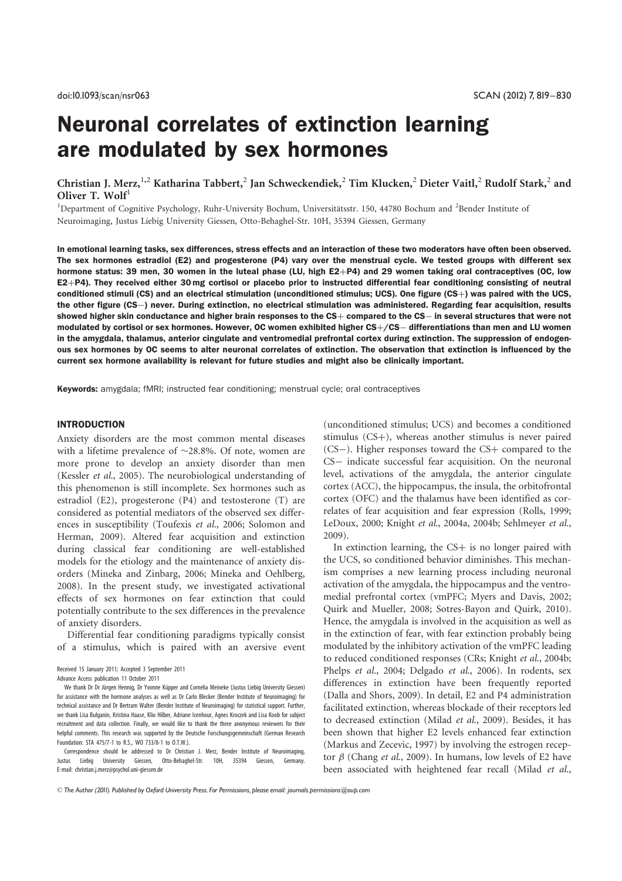# Neuronal correlates of extinction learning are modulated by sex hormones

Christian J. Merz, <sup>1,2</sup> Katharina Tabbert,<sup>2</sup> Jan Schweckendiek,<sup>2</sup> Tim Klucken,<sup>2</sup> Dieter Vaitl,<sup>2</sup> Rudolf Stark,<sup>2</sup> and Oliver T. Wolf $<sup>1</sup>$ </sup>

<sup>1</sup>Department of Cognitive Psychology, Ruhr-University Bochum, Universitätsstr. 150, 44780 Bochum and <sup>2</sup>Bender Institute of Neuroimaging, Justus Liebig University Giessen, Otto-Behaghel-Str. 10H, 35394 Giessen, Germany

In emotional learning tasks, sex differences, stress effects and an interaction of these two moderators have often been observed. The sex hormones estradiol (E2) and progesterone (P4) vary over the menstrual cycle. We tested groups with different sex hormone status: 39 men, 30 women in the luteal phase (LU, high E2+P4) and 29 women taking oral contraceptives (OC, low  $E2+P4$ ). They received either 30 mg cortisol or placebo prior to instructed differential fear conditioning consisting of neutral conditioned stimuli (CS) and an electrical stimulation (unconditioned stimulus; UCS). One figure (CS+) was paired with the UCS, the other figure (CS-) never. During extinction, no electrical stimulation was administered. Regarding fear acquisition, results showed higher skin conductance and higher brain responses to the  $CS$  + compared to the  $CS$  - in several structures that were not modulated by cortisol or sex hormones. However, OC women exhibited higher  $CS+/CS-$  differentiations than men and LU women in the amygdala, thalamus, anterior cingulate and ventromedial prefrontal cortex during extinction. The suppression of endogenous sex hormones by OC seems to alter neuronal correlates of extinction. The observation that extinction is influenced by the current sex hormone availability is relevant for future studies and might also be clinically important.

Keywords: amygdala; fMRI; instructed fear conditioning; menstrual cycle; oral contraceptives

#### INTRODUCTION

Anxiety disorders are the most common mental diseases with a lifetime prevalence of  $\sim$ 28.8%. Of note, women are more prone to develop an anxiety disorder than men (Kessler et al., 2005). The neurobiological understanding of this phenomenon is still incomplete. Sex hormones such as estradiol (E2), progesterone (P4) and testosterone (T) are considered as potential mediators of the observed sex differences in susceptibility (Toufexis et al., 2006; Solomon and Herman, 2009). Altered fear acquisition and extinction during classical fear conditioning are well-established models for the etiology and the maintenance of anxiety disorders (Mineka and Zinbarg, 2006; Mineka and Oehlberg, 2008). In the present study, we investigated activational effects of sex hormones on fear extinction that could potentially contribute to the sex differences in the prevalence of anxiety disorders.

Differential fear conditioning paradigms typically consist of a stimulus, which is paired with an aversive event

We thank Dr Dr Jürgen Hennig, Dr Yvonne Küpper and Cornelia Meineke (Justus Liebig University Giessen) for assistance with the hormone analyses as well as Dr Carlo Blecker (Bender Institute of Neuroimaging) for technical assistance and Dr Bertram Walter (Bender Institute of Neuroimaging) for statistical support. Further, we thank Lisa Bulganin, Kristina Haase, Klio Hilber, Adriane Icenhour, Agnes Kroczek and Lisa Koob for subject recruitment and data collection. Finally, we would like to thank the three anonymous reviewers for their helpful comments. This research was supported by the Deutsche Forschungsgemeinschaft (German Research Foundation: STA 475/7-1 to R.S., WO 733/8-1 to O.T.W.).

Correspondence should be addressed to Dr Christian J. Merz, Bender Institute of Neuroimaging, Justus Liebig University Giessen, Otto-Behaghel-Str. 10H, 35394 Giessen, Germany. E-mail: christian.j.merz@psychol.uni-giessen.de

(unconditioned stimulus; UCS) and becomes a conditioned stimulus  $(CS+)$ , whereas another stimulus is never paired  $(CS-)$ . Higher responses toward the  $CS+$  compared to the CS- indicate successful fear acquisition. On the neuronal level, activations of the amygdala, the anterior cingulate cortex (ACC), the hippocampus, the insula, the orbitofrontal cortex (OFC) and the thalamus have been identified as correlates of fear acquisition and fear expression (Rolls, 1999; LeDoux, 2000; Knight et al., 2004a, 2004b; Sehlmeyer et al., 2009).

In extinction learning, the  $CS+$  is no longer paired with the UCS, so conditioned behavior diminishes. This mechanism comprises a new learning process including neuronal activation of the amygdala, the hippocampus and the ventromedial prefrontal cortex (vmPFC; Myers and Davis, 2002; Quirk and Mueller, 2008; Sotres-Bayon and Quirk, 2010). Hence, the amygdala is involved in the acquisition as well as in the extinction of fear, with fear extinction probably being modulated by the inhibitory activation of the vmPFC leading to reduced conditioned responses (CRs; Knight et al., 2004b; Phelps et al., 2004; Delgado et al., 2006). In rodents, sex differences in extinction have been frequently reported (Dalla and Shors, 2009). In detail, E2 and P4 administration facilitated extinction, whereas blockade of their receptors led to decreased extinction (Milad et al., 2009). Besides, it has been shown that higher E2 levels enhanced fear extinction (Markus and Zecevic, 1997) by involving the estrogen receptor  $\beta$  (Chang *et al.*, 2009). In humans, low levels of E2 have been associated with heightened fear recall (Milad et al.,

ß *The Author (2011). Published by Oxford University Press. For Permissions, please email: journals.permissions@oup.com*

Received 15 January 2011; Accepted 3 September 2011

Advance Access publication 11 October 2011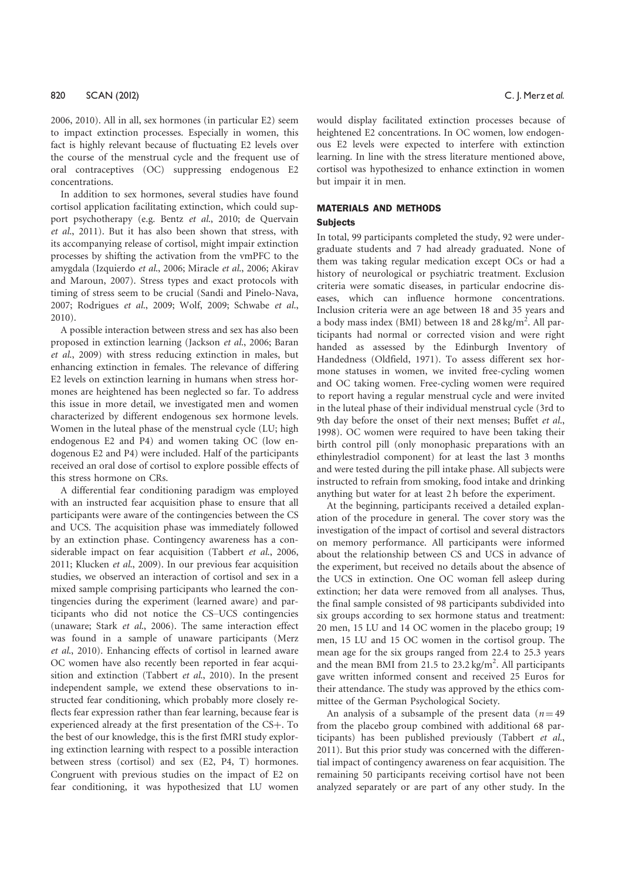2006, 2010). All in all, sex hormones (in particular E2) seem to impact extinction processes. Especially in women, this fact is highly relevant because of fluctuating E2 levels over the course of the menstrual cycle and the frequent use of oral contraceptives (OC) suppressing endogenous E2 concentrations.

In addition to sex hormones, several studies have found cortisol application facilitating extinction, which could support psychotherapy (e.g. Bentz et al., 2010; de Quervain et al., 2011). But it has also been shown that stress, with its accompanying release of cortisol, might impair extinction processes by shifting the activation from the vmPFC to the amygdala (Izquierdo et al., 2006; Miracle et al., 2006; Akirav and Maroun, 2007). Stress types and exact protocols with timing of stress seem to be crucial (Sandi and Pinelo-Nava, 2007; Rodrigues et al., 2009; Wolf, 2009; Schwabe et al., 2010).

A possible interaction between stress and sex has also been proposed in extinction learning (Jackson et al., 2006; Baran et al., 2009) with stress reducing extinction in males, but enhancing extinction in females. The relevance of differing E2 levels on extinction learning in humans when stress hormones are heightened has been neglected so far. To address this issue in more detail, we investigated men and women characterized by different endogenous sex hormone levels. Women in the luteal phase of the menstrual cycle (LU; high endogenous E2 and P4) and women taking OC (low endogenous E2 and P4) were included. Half of the participants received an oral dose of cortisol to explore possible effects of this stress hormone on CRs.

A differential fear conditioning paradigm was employed with an instructed fear acquisition phase to ensure that all participants were aware of the contingencies between the CS and UCS. The acquisition phase was immediately followed by an extinction phase. Contingency awareness has a considerable impact on fear acquisition (Tabbert et al., 2006, 2011; Klucken et al., 2009). In our previous fear acquisition studies, we observed an interaction of cortisol and sex in a mixed sample comprising participants who learned the contingencies during the experiment (learned aware) and participants who did not notice the CS–UCS contingencies (unaware; Stark et al., 2006). The same interaction effect was found in a sample of unaware participants (Merz et al., 2010). Enhancing effects of cortisol in learned aware OC women have also recently been reported in fear acquisition and extinction (Tabbert et al., 2010). In the present independent sample, we extend these observations to instructed fear conditioning, which probably more closely reflects fear expression rather than fear learning, because fear is experienced already at the first presentation of the CS+. To the best of our knowledge, this is the first fMRI study exploring extinction learning with respect to a possible interaction between stress (cortisol) and sex (E2, P4, T) hormones. Congruent with previous studies on the impact of E2 on fear conditioning, it was hypothesized that LU women

would display facilitated extinction processes because of heightened E2 concentrations. In OC women, low endogenous E2 levels were expected to interfere with extinction learning. In line with the stress literature mentioned above, cortisol was hypothesized to enhance extinction in women but impair it in men.

#### MATERIALS AND METHODS

#### **Subjects**

In total, 99 participants completed the study, 92 were undergraduate students and 7 had already graduated. None of them was taking regular medication except OCs or had a history of neurological or psychiatric treatment. Exclusion criteria were somatic diseases, in particular endocrine diseases, which can influence hormone concentrations. Inclusion criteria were an age between 18 and 35 years and a body mass index (BMI) between 18 and 28 kg/m<sup>2</sup>. All participants had normal or corrected vision and were right handed as assessed by the Edinburgh Inventory of Handedness (Oldfield, 1971). To assess different sex hormone statuses in women, we invited free-cycling women and OC taking women. Free-cycling women were required to report having a regular menstrual cycle and were invited in the luteal phase of their individual menstrual cycle (3rd to 9th day before the onset of their next menses; Buffet et al., 1998). OC women were required to have been taking their birth control pill (only monophasic preparations with an ethinylestradiol component) for at least the last 3 months and were tested during the pill intake phase. All subjects were instructed to refrain from smoking, food intake and drinking anything but water for at least 2 h before the experiment.

At the beginning, participants received a detailed explanation of the procedure in general. The cover story was the investigation of the impact of cortisol and several distractors on memory performance. All participants were informed about the relationship between CS and UCS in advance of the experiment, but received no details about the absence of the UCS in extinction. One OC woman fell asleep during extinction; her data were removed from all analyses. Thus, the final sample consisted of 98 participants subdivided into six groups according to sex hormone status and treatment: 20 men, 15 LU and 14 OC women in the placebo group; 19 men, 15 LU and 15 OC women in the cortisol group. The mean age for the six groups ranged from 22.4 to 25.3 years and the mean BMI from 21.5 to  $23.2 \text{ kg/m}^2$ . All participants gave written informed consent and received 25 Euros for their attendance. The study was approved by the ethics committee of the German Psychological Society.

An analysis of a subsample of the present data  $(n=49)$ from the placebo group combined with additional 68 participants) has been published previously (Tabbert et al., 2011). But this prior study was concerned with the differential impact of contingency awareness on fear acquisition. The remaining 50 participants receiving cortisol have not been analyzed separately or are part of any other study. In the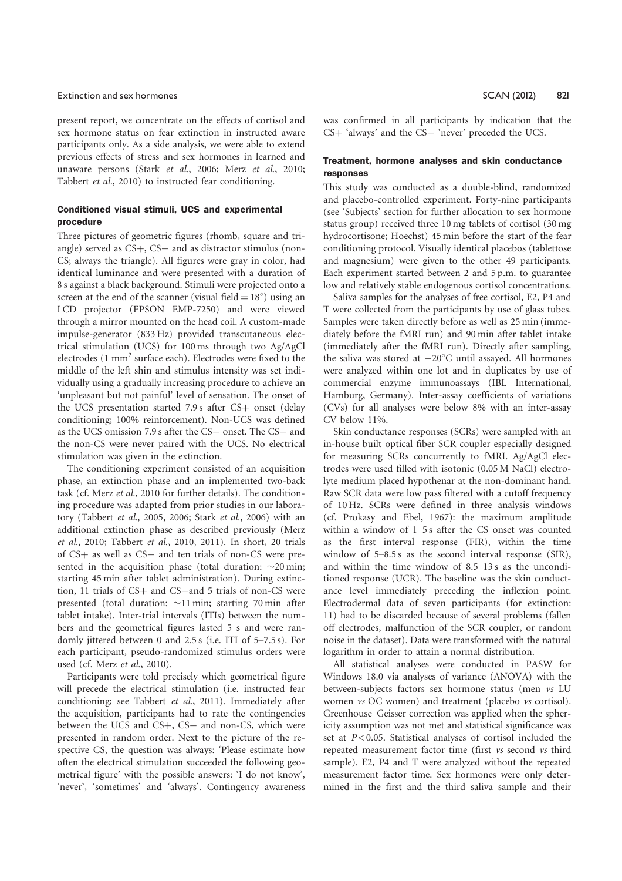#### Extinction and sex hormones **Extinction and sex hormones** SCAN (2012) 821

present report, we concentrate on the effects of cortisol and sex hormone status on fear extinction in instructed aware participants only. As a side analysis, we were able to extend previous effects of stress and sex hormones in learned and unaware persons (Stark et al., 2006; Merz et al., 2010; Tabbert et al., 2010) to instructed fear conditioning.

# Conditioned visual stimuli, UCS and experimental procedure

Three pictures of geometric figures (rhomb, square and triangle) served as  $CS+$ ,  $CS-$  and as distractor stimulus (non-CS; always the triangle). All figures were gray in color, had identical luminance and were presented with a duration of 8 s against a black background. Stimuli were projected onto a screen at the end of the scanner (visual field  $= 18^{\circ}$ ) using an LCD projector (EPSON EMP-7250) and were viewed through a mirror mounted on the head coil. A custom-made impulse-generator (833 Hz) provided transcutaneous electrical stimulation (UCS) for 100 ms through two Ag/AgCl electrodes (1 mm<sup>2</sup> surface each). Electrodes were fixed to the middle of the left shin and stimulus intensity was set individually using a gradually increasing procedure to achieve an 'unpleasant but not painful' level of sensation. The onset of the UCS presentation started  $7.9 s$  after  $CS$  onset (delay conditioning; 100% reinforcement). Non-UCS was defined as the UCS omission 7.9 s after the CS- onset. The CS- and the non-CS were never paired with the UCS. No electrical stimulation was given in the extinction.

The conditioning experiment consisted of an acquisition phase, an extinction phase and an implemented two-back task (cf. Merz et al., 2010 for further details). The conditioning procedure was adapted from prior studies in our laboratory (Tabbert et al., 2005, 2006; Stark et al., 2006) with an additional extinction phase as described previously (Merz et al., 2010; Tabbert et al., 2010, 2011). In short, 20 trials of CS+ as well as CS- and ten trials of non-CS were presented in the acquisition phase (total duration:  $\sim$ 20 min; starting 45 min after tablet administration). During extinction, 11 trials of CS+ and CS-and 5 trials of non-CS were presented (total duration:  $\sim$ 11 min; starting 70 min after tablet intake). Inter-trial intervals (ITIs) between the numbers and the geometrical figures lasted 5 s and were randomly jittered between 0 and 2.5 s (i.e. ITI of 5–7.5 s). For each participant, pseudo-randomized stimulus orders were used (cf. Merz et al., 2010).

Participants were told precisely which geometrical figure will precede the electrical stimulation (i.e. instructed fear conditioning; see Tabbert et al., 2011). Immediately after the acquisition, participants had to rate the contingencies between the UCS and CS+, CS- and non-CS, which were presented in random order. Next to the picture of the respective CS, the question was always: 'Please estimate how often the electrical stimulation succeeded the following geometrical figure' with the possible answers: 'I do not know', 'never', 'sometimes' and 'always'. Contingency awareness was confirmed in all participants by indication that the CS+ 'always' and the CS- 'never' preceded the UCS.

#### Treatment, hormone analyses and skin conductance responses

This study was conducted as a double-blind, randomized and placebo-controlled experiment. Forty-nine participants (see 'Subjects' section for further allocation to sex hormone status group) received three 10 mg tablets of cortisol (30 mg hydrocortisone; Hoechst) 45 min before the start of the fear conditioning protocol. Visually identical placebos (tablettose and magnesium) were given to the other 49 participants. Each experiment started between 2 and 5 p.m. to guarantee low and relatively stable endogenous cortisol concentrations.

Saliva samples for the analyses of free cortisol, E2, P4 and T were collected from the participants by use of glass tubes. Samples were taken directly before as well as 25 min (immediately before the fMRI run) and 90 min after tablet intake (immediately after the fMRI run). Directly after sampling, the saliva was stored at  $-20^{\circ}$ C until assayed. All hormones were analyzed within one lot and in duplicates by use of commercial enzyme immunoassays (IBL International, Hamburg, Germany). Inter-assay coefficients of variations (CVs) for all analyses were below 8% with an inter-assay CV below 11%.

Skin conductance responses (SCRs) were sampled with an in-house built optical fiber SCR coupler especially designed for measuring SCRs concurrently to fMRI. Ag/AgCl electrodes were used filled with isotonic (0.05 M NaCl) electrolyte medium placed hypothenar at the non-dominant hand. Raw SCR data were low pass filtered with a cutoff frequency of 10 Hz. SCRs were defined in three analysis windows (cf. Prokasy and Ebel, 1967): the maximum amplitude within a window of 1–5 s after the CS onset was counted as the first interval response (FIR), within the time window of 5–8.5 s as the second interval response (SIR), and within the time window of 8.5–13 s as the unconditioned response (UCR). The baseline was the skin conductance level immediately preceding the inflexion point. Electrodermal data of seven participants (for extinction: 11) had to be discarded because of several problems (fallen off electrodes, malfunction of the SCR coupler, or random noise in the dataset). Data were transformed with the natural logarithm in order to attain a normal distribution.

All statistical analyses were conducted in PASW for Windows 18.0 via analyses of variance (ANOVA) with the between-subjects factors sex hormone status (men vs LU women vs OC women) and treatment (placebo vs cortisol). Greenhouse–Geisser correction was applied when the sphericity assumption was not met and statistical significance was set at  $P < 0.05$ . Statistical analyses of cortisol included the repeated measurement factor time (first vs second vs third sample). E2, P4 and T were analyzed without the repeated measurement factor time. Sex hormones were only determined in the first and the third saliva sample and their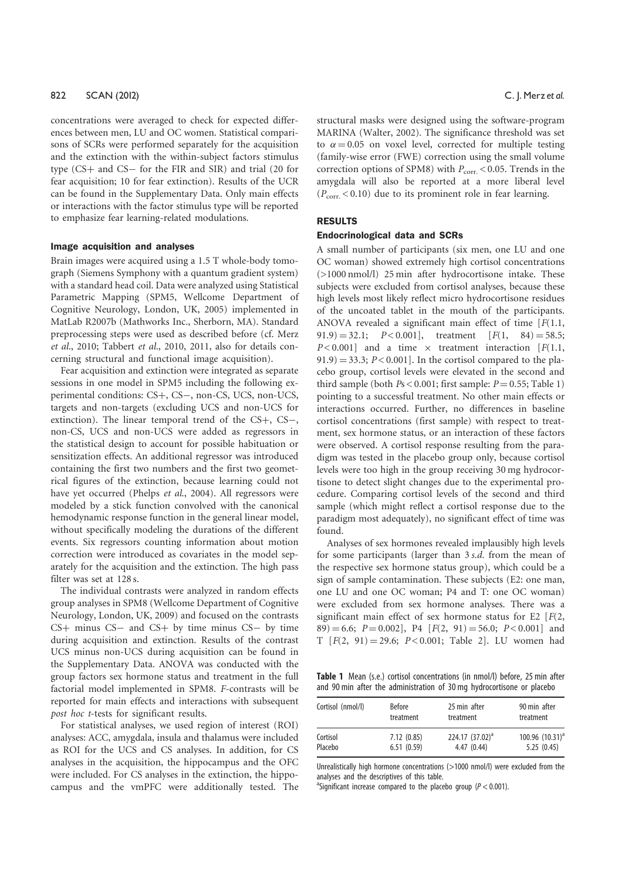concentrations were averaged to check for expected differences between men, LU and OC women. Statistical comparisons of SCRs were performed separately for the acquisition and the extinction with the within-subject factors stimulus type  $(CS<sub>+</sub>$  and  $CS<sub>-</sub>$  for the FIR and SIR) and trial (20 for fear acquisition; 10 for fear extinction). Results of the UCR can be found in the Supplementary Data. Only main effects or interactions with the factor stimulus type will be reported to emphasize fear learning-related modulations.

#### Image acquisition and analyses

Brain images were acquired using a 1.5 T whole-body tomograph (Siemens Symphony with a quantum gradient system) with a standard head coil. Data were analyzed using Statistical Parametric Mapping (SPM5, Wellcome Department of Cognitive Neurology, London, UK, 2005) implemented in MatLab R2007b (Mathworks Inc., Sherborn, MA). Standard preprocessing steps were used as described before (cf. Merz et al., 2010; Tabbert et al., 2010, 2011, also for details concerning structural and functional image acquisition).

Fear acquisition and extinction were integrated as separate sessions in one model in SPM5 including the following experimental conditions: CS+, CS-, non-CS, UCS, non-UCS, targets and non-targets (excluding UCS and non-UCS for extinction). The linear temporal trend of the  $CS+$ ,  $CS-$ , non-CS, UCS and non-UCS were added as regressors in the statistical design to account for possible habituation or sensitization effects. An additional regressor was introduced containing the first two numbers and the first two geometrical figures of the extinction, because learning could not have yet occurred (Phelps et al., 2004). All regressors were modeled by a stick function convolved with the canonical hemodynamic response function in the general linear model, without specifically modeling the durations of the different events. Six regressors counting information about motion correction were introduced as covariates in the model separately for the acquisition and the extinction. The high pass filter was set at 128 s.

The individual contrasts were analyzed in random effects group analyses in SPM8 (Wellcome Department of Cognitive Neurology, London, UK, 2009) and focused on the contrasts  $CS$ + minus  $CS$ - and  $CS$ + by time minus  $CS$ - by time during acquisition and extinction. Results of the contrast UCS minus non-UCS during acquisition can be found in the Supplementary Data. ANOVA was conducted with the group factors sex hormone status and treatment in the full factorial model implemented in SPM8. F-contrasts will be reported for main effects and interactions with subsequent post hoc t-tests for significant results.

For statistical analyses, we used region of interest (ROI) analyses: ACC, amygdala, insula and thalamus were included as ROI for the UCS and CS analyses. In addition, for CS analyses in the acquisition, the hippocampus and the OFC were included. For CS analyses in the extinction, the hippocampus and the vmPFC were additionally tested. The

structural masks were designed using the software-program MARINA (Walter, 2002). The significance threshold was set to  $\alpha = 0.05$  on voxel level, corrected for multiple testing (family-wise error (FWE) correction using the small volume correction options of SPM8) with  $P_{\text{corr.}}$  < 0.05. Trends in the amygdala will also be reported at a more liberal level  $(P_{corr} < 0.10)$  due to its prominent role in fear learning.

# RESULTS

#### Endocrinological data and SCRs

A small number of participants (six men, one LU and one OC woman) showed extremely high cortisol concentrations (>1000 nmol/l) 25 min after hydrocortisone intake. These subjects were excluded from cortisol analyses, because these high levels most likely reflect micro hydrocortisone residues of the uncoated tablet in the mouth of the participants. ANOVA revealed a significant main effect of time  $[F(1.1,$  $(91.9) = 32.1;$   $P < 0.001$ , treatment  $[F(1, 84) = 58.5;$  $P < 0.001$ ] and a time  $\times$  treatment interaction [F(1.1,  $91.9$  = 33.3; P < 0.001]. In the cortisol compared to the placebo group, cortisol levels were elevated in the second and third sample (both  $Ps < 0.001$ ; first sample:  $P = 0.55$ ; Table 1) pointing to a successful treatment. No other main effects or interactions occurred. Further, no differences in baseline cortisol concentrations (first sample) with respect to treatment, sex hormone status, or an interaction of these factors were observed. A cortisol response resulting from the paradigm was tested in the placebo group only, because cortisol levels were too high in the group receiving 30 mg hydrocortisone to detect slight changes due to the experimental procedure. Comparing cortisol levels of the second and third sample (which might reflect a cortisol response due to the paradigm most adequately), no significant effect of time was found.

Analyses of sex hormones revealed implausibly high levels for some participants (larger than 3 s.d. from the mean of the respective sex hormone status group), which could be a sign of sample contamination. These subjects (E2: one man, one LU and one OC woman; P4 and T: one OC woman) were excluded from sex hormone analyses. There was a significant main effect of sex hormone status for E2  $[F(2, 1)]$  $89$ ) = 6.6; P = 0.002], P4 [F(2, 91) = 56.0; P < 0.001] and T  $[F(2, 91) = 29.6; P < 0.001;$  Table 2]. LU women had

Table 1 Mean (s.e.) cortisol concentrations (in nmol/l) before, 25 min after and 90 min after the administration of 30 mg hydrocortisone or placebo

| Cortisol (nmol/l) | <b>Before</b> | 25 min after                | 90 min after                  |  |  |
|-------------------|---------------|-----------------------------|-------------------------------|--|--|
|                   | treatment     | treatment                   | treatment                     |  |  |
| Cortisol          | 7.12(0.85)    | 224.17 (37.02) <sup>a</sup> | $100.96$ (10.31) <sup>a</sup> |  |  |
| Placebo           | 6.51(0.59)    | 4.47(0.44)                  | 5.25(0.45)                    |  |  |

Unrealistically high hormone concentrations (>1000 nmol/l) were excluded from the analyses and the descriptives of this table.

<sup>a</sup>Significant increase compared to the placebo group ( $P < 0.001$ ).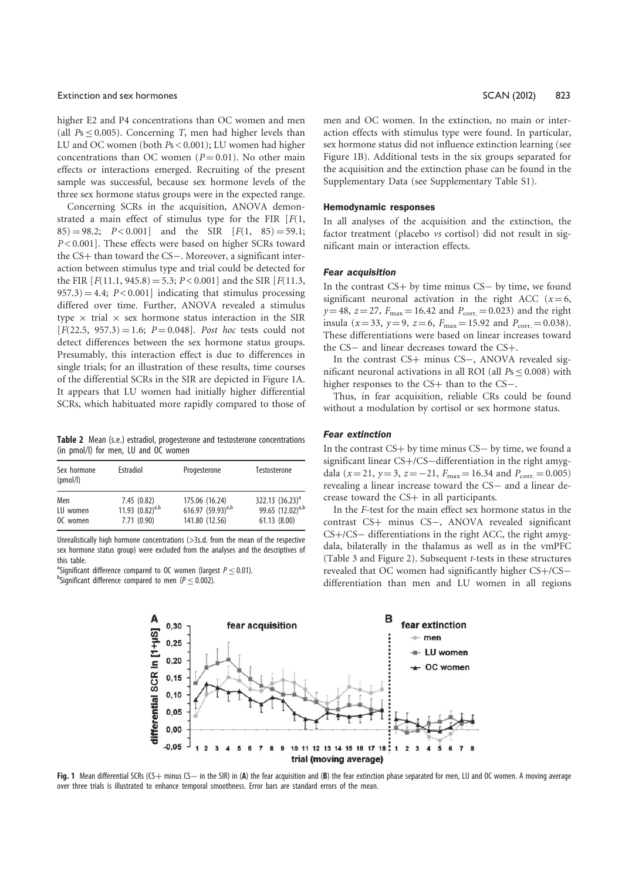#### Extinction and sex hormones SCAN (2012) 823

higher E2 and P4 concentrations than OC women and men (all  $Ps \leq 0.005$ ). Concerning T, men had higher levels than LU and OC women (both Ps < 0.001); LU women had higher concentrations than OC women ( $P = 0.01$ ). No other main effects or interactions emerged. Recruiting of the present sample was successful, because sex hormone levels of the three sex hormone status groups were in the expected range.

Concerning SCRs in the acquisition, ANOVA demonstrated a main effect of stimulus type for the FIR  $[F(1,$  $(85) = 98.2$ ;  $P < 0.001$  and the SIR  $[F(1, 85) = 59.1;$ P < 0.001]. These effects were based on higher SCRs toward the  $CS$ + than toward the  $CS$ -. Moreover, a significant interaction between stimulus type and trial could be detected for the FIR  $[F(11.1, 945.8) = 5.3; P < 0.001]$  and the SIR  $[F(11.3, 945.8) = 5.3; P < 0.001]$  $957.3$  = 4.4;  $P < 0.001$ ] indicating that stimulus processing differed over time. Further, ANOVA revealed a stimulus type  $\times$  trial  $\times$  sex hormone status interaction in the SIR  $[F(22.5, 957.3) = 1.6; P = 0.048]$ . Post hoc tests could not detect differences between the sex hormone status groups. Presumably, this interaction effect is due to differences in single trials; for an illustration of these results, time courses of the differential SCRs in the SIR are depicted in Figure 1A. It appears that LU women had initially higher differential SCRs, which habituated more rapidly compared to those of

Table 2 Mean (s.e.) estradiol, progesterone and testosterone concentrations (in pmol/l) for men, LU and OC women

| Sex hormone<br>(pmol/l) | Estradiol            | Progesterone           | Testosterone                 |
|-------------------------|----------------------|------------------------|------------------------------|
| Men                     | 7.45(0.82)           | 175.06 (16.24)         | $322.13$ $(36.23)^a$         |
| LU women                | 11.93 $(0.82)^{a,b}$ | 616.97 $(59.93)^{a,b}$ | 99.65 (12.02) <sup>a,b</sup> |
| OC women                | 7.71(0.90)           | 141.80 (12.56)         | 61.13 (8.00)                 |

Unrealistically high hormone concentrations (>3s.d. from the mean of the respective sex hormone status group) were excluded from the analyses and the descriptives of this table.

<sup>a</sup>Significant difference compared to OC women (largest  $P \leq 0.01$ ). <sup>b</sup>Significant difference compared to men ( $P \le 0.002$ ).

men and OC women. In the extinction, no main or interaction effects with stimulus type were found. In particular, sex hormone status did not influence extinction learning (see Figure 1B). Additional tests in the six groups separated for the acquisition and the extinction phase can be found in the Supplementary Data (see Supplementary Table S1).

#### Hemodynamic responses

In all analyses of the acquisition and the extinction, the factor treatment (placebo vs cortisol) did not result in significant main or interaction effects.

#### Fear acquisition

In the contrast  $CS+$  by time minus  $CS-$  by time, we found significant neuronal activation in the right ACC ( $x=6$ ,  $y=48$ ,  $z=27$ ,  $F_{\text{max}}=16.42$  and  $P_{\text{corr}}=0.023$ ) and the right insula ( $x = 33$ ,  $y = 9$ ,  $z = 6$ ,  $F_{\text{max}} = 15.92$  and  $P_{\text{corr}} = 0.038$ ). These differentiations were based on linear increases toward the CS- and linear decreases toward the CS+.

In the contrast  $CS+$  minus  $CS-$ , ANOVA revealed significant neuronal activations in all ROI (all  $Ps \leq 0.008$ ) with higher responses to the  $CS+$  than to the  $CS-$ .

Thus, in fear acquisition, reliable CRs could be found without a modulation by cortisol or sex hormone status.

#### Fear extinction

In the contrast  $CS+$  by time minus  $CS-$  by time, we found a significant linear  $CS + / CS$  -differentiation in the right amygdala ( $x = 21$ ,  $y = 3$ ,  $z = -21$ ,  $F_{\text{max}} = 16.34$  and  $P_{\text{corr}} = 0.005$ ) revealing a linear increase toward the CS- and a linear decrease toward the  $CS+$  in all participants.

In the F-test for the main effect sex hormone status in the contrast CS+ minus CS-, ANOVA revealed significant  $CS + / CS -$  differentiations in the right ACC, the right amygdala, bilaterally in the thalamus as well as in the vmPFC (Table 3 and Figure 2). Subsequent t-tests in these structures revealed that OC women had significantly higher CS+/CSdifferentiation than men and LU women in all regions



Fig. 1 Mean differential SCRs (CS+ minus CS- in the SIR) in (A) the fear acquisition and (B) the fear extinction phase separated for men, LU and OC women. A moving average over three trials is illustrated to enhance temporal smoothness. Error bars are standard errors of the mean.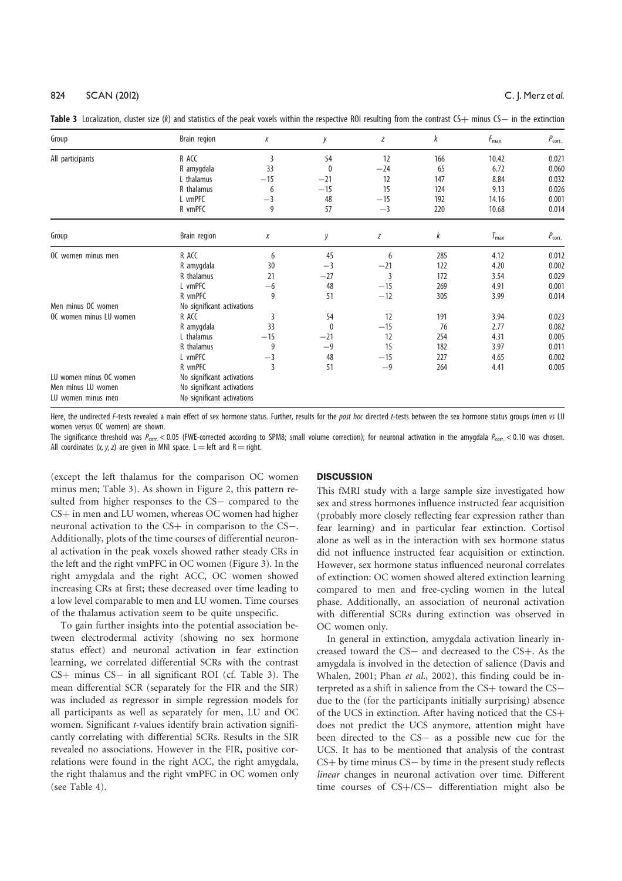| Group                   | Brain region               | Χ     | у     | Ζ     | k   | $F_{\text{max}}$ | $P_{corr.}$ |
|-------------------------|----------------------------|-------|-------|-------|-----|------------------|-------------|
| All participants        | R ACC                      | 3     | 54    | 12    | 166 | 10.42            | 0.021       |
|                         | R amygdala                 | 33    | 0     | $-24$ | 65  | 6.72             | 0.060       |
|                         | L thalamus                 | $-15$ | $-21$ | 12    | 147 | 8.84             | 0.032       |
|                         | R thalamus                 | 6     | $-15$ | 15    | 124 | 9.13             | 0.026       |
|                         | L vmPFC                    | $-3$  | 48    | $-15$ | 192 | 14.16            | 0.001       |
|                         | R vmPFC                    | 9     | 57    | $-3$  | 220 | 10.68            | 0.014       |
| Group                   | Brain region               | Χ     | у     | Z     | k   | $T_{\text{max}}$ | $P_{corr.}$ |
| OC women minus men      | R ACC                      | 6     | 45    | 6     | 285 | 4.12             | 0.012       |
|                         | R amygdala                 | 30    | $-3$  | $-21$ | 122 | 4.20             | 0.002       |
|                         | R thalamus                 | 21    | $-27$ | 3     | 172 | 3.54             | 0.029       |
|                         | L vmPFC                    | -6    | 48    | $-15$ | 269 | 4.91             | 0.001       |
|                         | R vmPFC                    | 9     | 51    | $-12$ | 305 | 3.99             | 0.014       |
| Men minus OC women      | No significant activations |       |       |       |     |                  |             |
| OC women minus LU women | R ACC                      | 3     | 54    | 12    | 191 | 3.94             | 0.023       |
|                         | R amygdala                 | 33    | 0     | $-15$ | 76  | 2.77             | 0.082       |
|                         | L thalamus                 | $-15$ | $-21$ | 12    | 254 | 4.31             | 0.005       |
|                         | R thalamus                 | 9     | $-9$  | 15    | 182 | 3.97             | 0.011       |
|                         | L vmPFC                    | $-3$  | 48    | $-15$ | 227 | 4.65             | 0.002       |
|                         | R vmPFC                    | 3     | 51    | $-9$  | 264 | 4.41             | 0.005       |
| LU women minus OC women | No significant activations |       |       |       |     |                  |             |
| Men minus LU women      | No significant activations |       |       |       |     |                  |             |
| LU women minus men      | No significant activations |       |       |       |     |                  |             |

Table 3 Localization, cluster size (k) and statistics of the peak voxels within the respective ROI resulting from the contrast  $C+$  minus  $C-$  in the extinction

Here, the undirected F-tests revealed a main effect of sex hormone status. Further, results for the post hoc directed t-tests between the sex hormone status groups (men vs LU women versus OC women) are shown.

The significance threshold was  $P_{\text{corr}} < 0.05$  (FWE-corrected according to SPM8; small volume correction); for neuronal activation in the amygdala  $P_{\text{corr}} < 0.10$  was chosen. All coordinates  $(x, y, z)$  are given in MNI space. L = left and R = right.

(except the left thalamus for the comparison OC women minus men; Table 3). As shown in Figure 2, this pattern resulted from higher responses to the CS- compared to the  $CS$ + in men and LU women, whereas OC women had higher neuronal activation to the CS+ in comparison to the CS-. Additionally, plots of the time courses of differential neuronal activation in the peak voxels showed rather steady CRs in the left and the right vmPFC in OC women (Figure 3). In the right amygdala and the right ACC, OC women showed increasing CRs at first; these decreased over time leading to a low level comparable to men and LU women. Time courses of the thalamus activation seem to be quite unspecific.

To gain further insights into the potential association between electrodermal activity (showing no sex hormone status effect) and neuronal activation in fear extinction learning, we correlated differential SCRs with the contrast  $CS$ + minus  $CS$ - in all significant ROI (cf. Table 3). The mean differential SCR (separately for the FIR and the SIR) was included as regressor in simple regression models for all participants as well as separately for men, LU and OC women. Significant t-values identify brain activation significantly correlating with differential SCRs. Results in the SIR revealed no associations. However in the FIR, positive correlations were found in the right ACC, the right amygdala, the right thalamus and the right vmPFC in OC women only (see Table 4).

#### **DISCUSSION**

This fMRI study with a large sample size investigated how sex and stress hormones influence instructed fear acquisition (probably more closely reflecting fear expression rather than fear learning) and in particular fear extinction. Cortisol alone as well as in the interaction with sex hormone status did not influence instructed fear acquisition or extinction. However, sex hormone status influenced neuronal correlates of extinction: OC women showed altered extinction learning compared to men and free-cycling women in the luteal phase. Additionally, an association of neuronal activation with differential SCRs during extinction was observed in OC women only.

In general in extinction, amygdala activation linearly increased toward the CS- and decreased to the CS+. As the amygdala is involved in the detection of salience (Davis and Whalen, 2001; Phan et al., 2002), this finding could be interpreted as a shift in salience from the CS+ toward the CSdue to the (for the participants initially surprising) absence of the UCS in extinction. After having noticed that the  $CS +$ does not predict the UCS anymore, attention might have been directed to the CS- as a possible new cue for the UCS. It has to be mentioned that analysis of the contrast  $CS +$  by time minus  $CS -$  by time in the present study reflects linear changes in neuronal activation over time. Different time courses of  $CS+/CS-$  differentiation might also be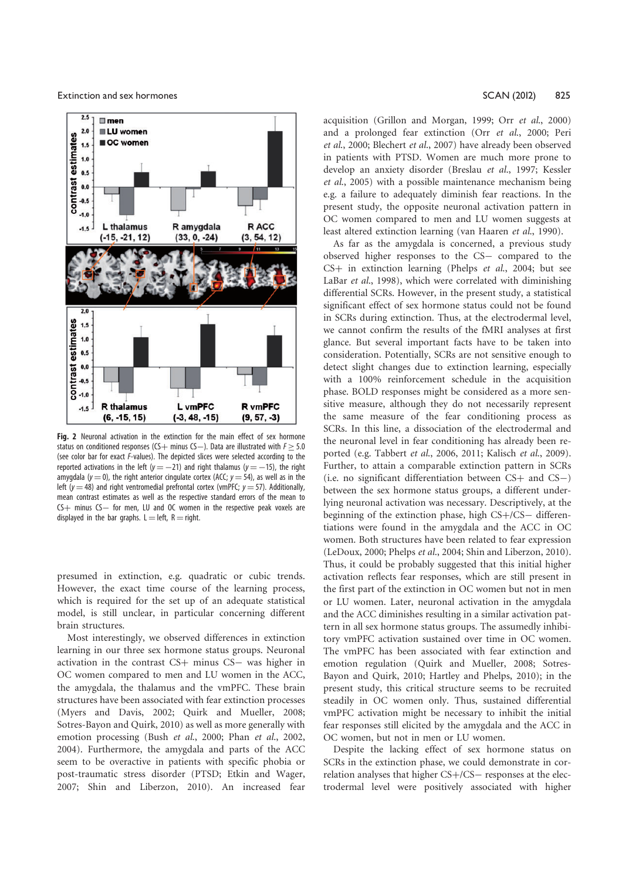Extinction and sex hormones **SCAN (2012)** 825



Fig. 2 Neuronal activation in the extinction for the main effect of sex hormone status on conditioned responses (CS  $+$  minus CS  $-$ ). Data are illustrated with  $F \geq 5.0$ (see color bar for exact F-values). The depicted slices were selected according to the reported activations in the left ( $y = -21$ ) and right thalamus ( $y = -15$ ), the right amygdala ( $y = 0$ ), the right anterior cingulate cortex (ACC;  $y = 54$ ), as well as in the left ( $y = 48$ ) and right ventromedial prefrontal cortex (vmPFC;  $y = 57$ ). Additionally, mean contrast estimates as well as the respective standard errors of the mean to  $CS+$  minus  $CS-$  for men, LU and OC women in the respective peak voxels are displayed in the bar graphs.  $L = left$ ,  $R = right$ .

presumed in extinction, e.g. quadratic or cubic trends. However, the exact time course of the learning process, which is required for the set up of an adequate statistical model, is still unclear, in particular concerning different brain structures.

Most interestingly, we observed differences in extinction learning in our three sex hormone status groups. Neuronal activation in the contrast  $CS$ + minus  $CS$ - was higher in OC women compared to men and LU women in the ACC, the amygdala, the thalamus and the vmPFC. These brain structures have been associated with fear extinction processes (Myers and Davis, 2002; Quirk and Mueller, 2008; Sotres-Bayon and Quirk, 2010) as well as more generally with emotion processing (Bush et al., 2000; Phan et al., 2002, 2004). Furthermore, the amygdala and parts of the ACC seem to be overactive in patients with specific phobia or post-traumatic stress disorder (PTSD; Etkin and Wager, 2007; Shin and Liberzon, 2010). An increased fear

acquisition (Grillon and Morgan, 1999; Orr et al., 2000) and a prolonged fear extinction (Orr et al., 2000; Peri et al., 2000; Blechert et al., 2007) have already been observed in patients with PTSD. Women are much more prone to develop an anxiety disorder (Breslau et al., 1997; Kessler et al., 2005) with a possible maintenance mechanism being e.g. a failure to adequately diminish fear reactions. In the present study, the opposite neuronal activation pattern in OC women compared to men and LU women suggests at least altered extinction learning (van Haaren et al., 1990).

As far as the amygdala is concerned, a previous study observed higher responses to the CS- compared to the CS+ in extinction learning (Phelps et al., 2004; but see LaBar et al., 1998), which were correlated with diminishing differential SCRs. However, in the present study, a statistical significant effect of sex hormone status could not be found in SCRs during extinction. Thus, at the electrodermal level, we cannot confirm the results of the fMRI analyses at first glance. But several important facts have to be taken into consideration. Potentially, SCRs are not sensitive enough to detect slight changes due to extinction learning, especially with a 100% reinforcement schedule in the acquisition phase. BOLD responses might be considered as a more sensitive measure, although they do not necessarily represent the same measure of the fear conditioning process as SCRs. In this line, a dissociation of the electrodermal and the neuronal level in fear conditioning has already been reported (e.g. Tabbert et al., 2006, 2011; Kalisch et al., 2009). Further, to attain a comparable extinction pattern in SCRs (i.e. no significant differentiation between  $CS$  and  $CS$  –) between the sex hormone status groups, a different underlying neuronal activation was necessary. Descriptively, at the beginning of the extinction phase, high  $CS + / CS -$  differentiations were found in the amygdala and the ACC in OC women. Both structures have been related to fear expression (LeDoux, 2000; Phelps et al., 2004; Shin and Liberzon, 2010). Thus, it could be probably suggested that this initial higher activation reflects fear responses, which are still present in the first part of the extinction in OC women but not in men or LU women. Later, neuronal activation in the amygdala and the ACC diminishes resulting in a similar activation pattern in all sex hormone status groups. The assumedly inhibitory vmPFC activation sustained over time in OC women. The vmPFC has been associated with fear extinction and emotion regulation (Quirk and Mueller, 2008; Sotres-Bayon and Quirk, 2010; Hartley and Phelps, 2010); in the present study, this critical structure seems to be recruited steadily in OC women only. Thus, sustained differential vmPFC activation might be necessary to inhibit the initial fear responses still elicited by the amygdala and the ACC in OC women, but not in men or LU women.

Despite the lacking effect of sex hormone status on SCRs in the extinction phase, we could demonstrate in correlation analyses that higher  $CS + / CS -$  responses at the electrodermal level were positively associated with higher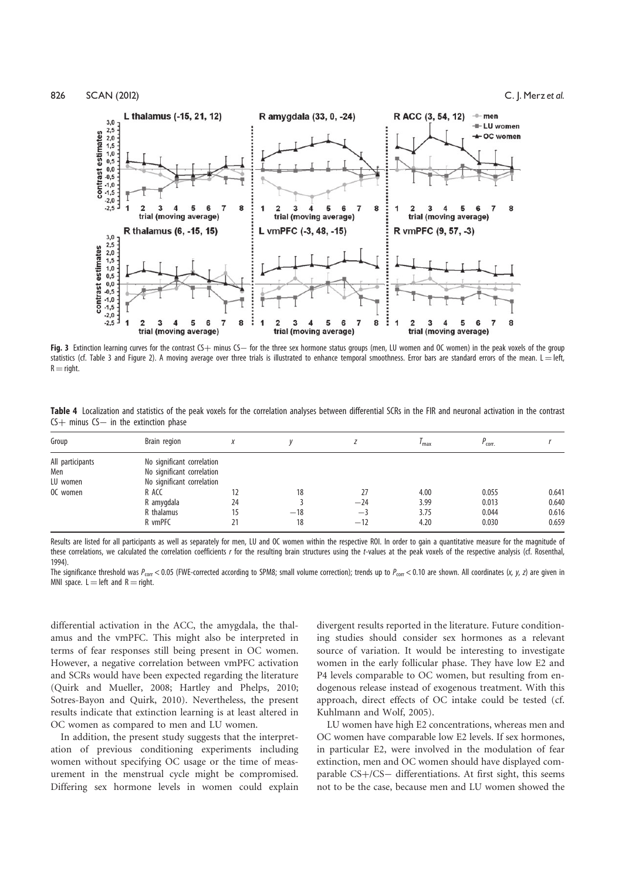



Fig. 3 Extinction learning curves for the contrast  $CS+$  minus  $CS-$  for the three sex hormone status groups (men, LU women and OC women) in the peak voxels of the group statistics (cf. Table 3 and Figure 2). A moving average over three trials is illustrated to enhance temporal smoothness. Error bars are standard errors of the mean. L = left,  $R =$ right.

|                                           | Table 4 Localization and statistics of the peak voxels for the correlation analyses between differential SCRs in the FIR and neuronal activation in the contrast |  |  |  |  |  |
|-------------------------------------------|------------------------------------------------------------------------------------------------------------------------------------------------------------------|--|--|--|--|--|
| $CS+$ minus $CS-$ in the extinction phase |                                                                                                                                                                  |  |  |  |  |  |

| Group                                           | Brain region                                                                                                                           |    |                   |                              | ' max                        | $P_{\rm corr.}$                  |                                  |
|-------------------------------------------------|----------------------------------------------------------------------------------------------------------------------------------------|----|-------------------|------------------------------|------------------------------|----------------------------------|----------------------------------|
| All participants<br>Men<br>LU women<br>OC women | No significant correlation<br>No significant correlation<br>No significant correlation<br>R ACC<br>R amygdala<br>R thalamus<br>R vmPFC | 24 | 18<br>$-18$<br>18 | 27<br>$-24$<br>$-3$<br>$-12$ | 4.00<br>3.99<br>3.75<br>4.20 | 0.055<br>0.013<br>0.044<br>0.030 | 0.641<br>0.640<br>0.616<br>0.659 |

Results are listed for all participants as well as separately for men. LU and OC women within the respective ROI. In order to gain a quantitative measure for the magnitude of these correlations, we calculated the correlation coefficients r for the resulting brain structures using the t-values at the peak voxels of the respective analysis (cf. Rosenthal, 1994).

The significance threshold was  $P_{\text{corr}}$  < 0.05 (FWE-corrected according to SPM8; small volume correction); trends up to  $P_{\text{corr}}$  < 0.10 are shown. All coordinates (x, y, z) are given in MNI space.  $L = left$  and  $R = right$ .

differential activation in the ACC, the amygdala, the thalamus and the vmPFC. This might also be interpreted in terms of fear responses still being present in OC women. However, a negative correlation between vmPFC activation and SCRs would have been expected regarding the literature (Quirk and Mueller, 2008; Hartley and Phelps, 2010; Sotres-Bayon and Quirk, 2010). Nevertheless, the present results indicate that extinction learning is at least altered in OC women as compared to men and LU women.

In addition, the present study suggests that the interpretation of previous conditioning experiments including women without specifying OC usage or the time of measurement in the menstrual cycle might be compromised. Differing sex hormone levels in women could explain

divergent results reported in the literature. Future conditioning studies should consider sex hormones as a relevant source of variation. It would be interesting to investigate women in the early follicular phase. They have low E2 and P4 levels comparable to OC women, but resulting from endogenous release instead of exogenous treatment. With this approach, direct effects of OC intake could be tested (cf. Kuhlmann and Wolf, 2005).

LU women have high E2 concentrations, whereas men and OC women have comparable low E2 levels. If sex hormones, in particular E2, were involved in the modulation of fear extinction, men and OC women should have displayed comparable  $CS + / CS -$  differentiations. At first sight, this seems not to be the case, because men and LU women showed the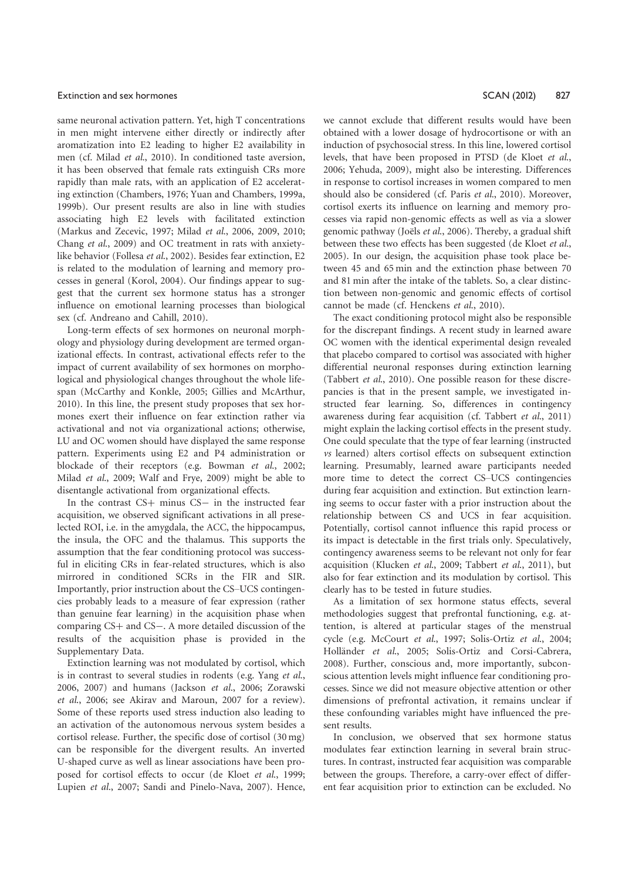#### Extinction and sex hormones **Extinction and sex hormones SCAN** (2012) 827

same neuronal activation pattern. Yet, high T concentrations in men might intervene either directly or indirectly after aromatization into E2 leading to higher E2 availability in men (cf. Milad et al., 2010). In conditioned taste aversion, it has been observed that female rats extinguish CRs more rapidly than male rats, with an application of E2 accelerating extinction (Chambers, 1976; Yuan and Chambers, 1999a, 1999b). Our present results are also in line with studies associating high E2 levels with facilitated extinction (Markus and Zecevic, 1997; Milad et al., 2006, 2009, 2010; Chang et al., 2009) and OC treatment in rats with anxietylike behavior (Follesa et al., 2002). Besides fear extinction, E2 is related to the modulation of learning and memory processes in general (Korol, 2004). Our findings appear to suggest that the current sex hormone status has a stronger influence on emotional learning processes than biological sex (cf. Andreano and Cahill, 2010).

Long-term effects of sex hormones on neuronal morphology and physiology during development are termed organizational effects. In contrast, activational effects refer to the impact of current availability of sex hormones on morphological and physiological changes throughout the whole lifespan (McCarthy and Konkle, 2005; Gillies and McArthur, 2010). In this line, the present study proposes that sex hormones exert their influence on fear extinction rather via activational and not via organizational actions; otherwise, LU and OC women should have displayed the same response pattern. Experiments using E2 and P4 administration or blockade of their receptors (e.g. Bowman et al., 2002; Milad et al., 2009; Walf and Frye, 2009) might be able to disentangle activational from organizational effects.

In the contrast  $CS+$  minus  $CS-$  in the instructed fear acquisition, we observed significant activations in all preselected ROI, i.e. in the amygdala, the ACC, the hippocampus, the insula, the OFC and the thalamus. This supports the assumption that the fear conditioning protocol was successful in eliciting CRs in fear-related structures, which is also mirrored in conditioned SCRs in the FIR and SIR. Importantly, prior instruction about the CS–UCS contingencies probably leads to a measure of fear expression (rather than genuine fear learning) in the acquisition phase when comparing  $CS$  and  $CS$  –. A more detailed discussion of the results of the acquisition phase is provided in the Supplementary Data.

Extinction learning was not modulated by cortisol, which is in contrast to several studies in rodents (e.g. Yang et al., 2006, 2007) and humans (Jackson et al., 2006; Zorawski et al., 2006; see Akirav and Maroun, 2007 for a review). Some of these reports used stress induction also leading to an activation of the autonomous nervous system besides a cortisol release. Further, the specific dose of cortisol (30 mg) can be responsible for the divergent results. An inverted U-shaped curve as well as linear associations have been proposed for cortisol effects to occur (de Kloet et al., 1999; Lupien et al., 2007; Sandi and Pinelo-Nava, 2007). Hence, we cannot exclude that different results would have been obtained with a lower dosage of hydrocortisone or with an induction of psychosocial stress. In this line, lowered cortisol levels, that have been proposed in PTSD (de Kloet et al., 2006; Yehuda, 2009), might also be interesting. Differences in response to cortisol increases in women compared to men should also be considered (cf. Paris et al., 2010). Moreover, cortisol exerts its influence on learning and memory processes via rapid non-genomic effects as well as via a slower genomic pathway (Joëls et al., 2006). Thereby, a gradual shift between these two effects has been suggested (de Kloet et al., 2005). In our design, the acquisition phase took place between 45 and 65 min and the extinction phase between 70 and 81 min after the intake of the tablets. So, a clear distinction between non-genomic and genomic effects of cortisol cannot be made (cf. Henckens et al., 2010).

The exact conditioning protocol might also be responsible for the discrepant findings. A recent study in learned aware OC women with the identical experimental design revealed that placebo compared to cortisol was associated with higher differential neuronal responses during extinction learning (Tabbert et al., 2010). One possible reason for these discrepancies is that in the present sample, we investigated instructed fear learning. So, differences in contingency awareness during fear acquisition (cf. Tabbert et al., 2011) might explain the lacking cortisol effects in the present study. One could speculate that the type of fear learning (instructed vs learned) alters cortisol effects on subsequent extinction learning. Presumably, learned aware participants needed more time to detect the correct CS–UCS contingencies during fear acquisition and extinction. But extinction learning seems to occur faster with a prior instruction about the relationship between CS and UCS in fear acquisition. Potentially, cortisol cannot influence this rapid process or its impact is detectable in the first trials only. Speculatively, contingency awareness seems to be relevant not only for fear acquisition (Klucken et al., 2009; Tabbert et al., 2011), but also for fear extinction and its modulation by cortisol. This clearly has to be tested in future studies.

As a limitation of sex hormone status effects, several methodologies suggest that prefrontal functioning, e.g. attention, is altered at particular stages of the menstrual cycle (e.g. McCourt et al., 1997; Solis-Ortiz et al., 2004; Holländer et al., 2005; Solis-Ortiz and Corsi-Cabrera, 2008). Further, conscious and, more importantly, subconscious attention levels might influence fear conditioning processes. Since we did not measure objective attention or other dimensions of prefrontal activation, it remains unclear if these confounding variables might have influenced the present results.

In conclusion, we observed that sex hormone status modulates fear extinction learning in several brain structures. In contrast, instructed fear acquisition was comparable between the groups. Therefore, a carry-over effect of different fear acquisition prior to extinction can be excluded. No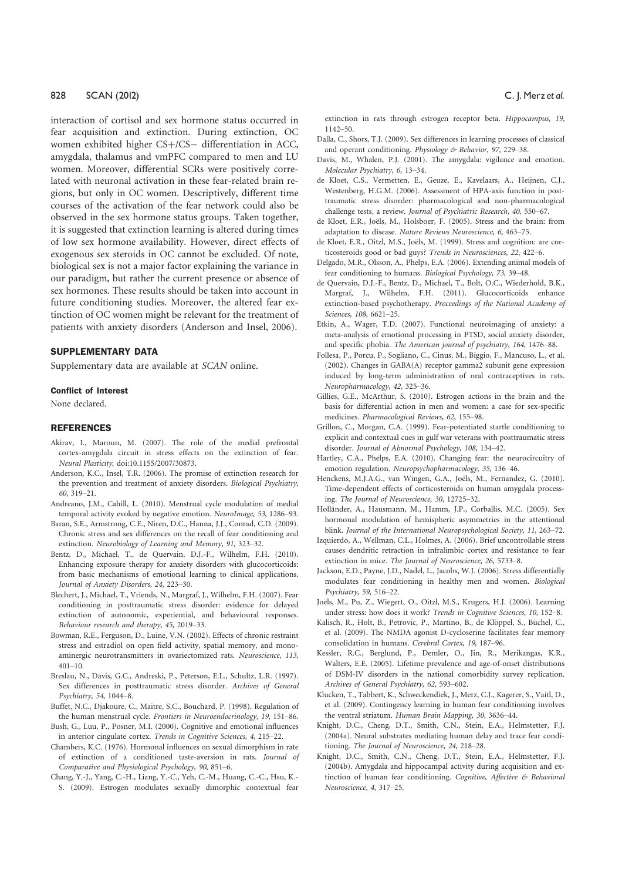interaction of cortisol and sex hormone status occurred in fear acquisition and extinction. During extinction, OC women exhibited higher CS+/CS- differentiation in ACC, amygdala, thalamus and vmPFC compared to men and LU women. Moreover, differential SCRs were positively correlated with neuronal activation in these fear-related brain regions, but only in OC women. Descriptively, different time courses of the activation of the fear network could also be observed in the sex hormone status groups. Taken together, it is suggested that extinction learning is altered during times of low sex hormone availability. However, direct effects of exogenous sex steroids in OC cannot be excluded. Of note, biological sex is not a major factor explaining the variance in our paradigm, but rather the current presence or absence of sex hormones. These results should be taken into account in future conditioning studies. Moreover, the altered fear extinction of OC women might be relevant for the treatment of patients with anxiety disorders (Anderson and Insel, 2006).

# SUPPLEMENTARY DATA

Supplementary data are available at SCAN online.

#### Conflict of Interest

None declared.

#### **REFERENCES**

- Akirav, I., Maroun, M. (2007). The role of the medial prefrontal cortex-amygdala circuit in stress effects on the extinction of fear. Neural Plasticity, doi:10.1155/2007/30873.
- Anderson, K.C., Insel, T.R. (2006). The promise of extinction research for the prevention and treatment of anxiety disorders. Biological Psychiatry, 60, 319–21.
- Andreano, J.M., Cahill, L. (2010). Menstrual cycle modulation of medial temporal activity evoked by negative emotion. NeuroImage, 53, 1286–93.
- Baran, S.E., Armstrong, C.E., Niren, D.C., Hanna, J.J., Conrad, C.D. (2009). Chronic stress and sex differences on the recall of fear conditioning and extinction. Neurobiology of Learning and Memory, 91, 323–32.
- Bentz, D., Michael, T., de Quervain, D.J.-F., Wilhelm, F.H. (2010). Enhancing exposure therapy for anxiety disorders with glucocorticoids: from basic mechanisms of emotional learning to clinical applications. Journal of Anxiety Disorders, 24, 223–30.
- Blechert, J., Michael, T., Vriends, N., Margraf, J., Wilhelm, F.H. (2007). Fear conditioning in posttraumatic stress disorder: evidence for delayed extinction of autonomic, experiential, and behavioural responses. Behaviour research and therapy, 45, 2019–33.
- Bowman, R.E., Ferguson, D., Luine, V.N. (2002). Effects of chronic restraint stress and estradiol on open field activity, spatial memory, and monoaminergic neurotransmitters in ovariectomized rats. Neuroscience, 113,  $401 - 10$ .
- Breslau, N., Davis, G.C., Andreski, P., Peterson, E.L., Schultz, L.R. (1997). Sex differences in posttraumatic stress disorder. Archives of General Psychiatry, 54, 1044–8.
- Buffet, N.C., Djakoure, C., Maitre, S.C., Bouchard, P. (1998). Regulation of the human menstrual cycle. Frontiers in Neuroendocrinology, 19, 151–86.
- Bush, G., Luu, P., Posner, M.I. (2000). Cognitive and emotional influences in anterior cingulate cortex. Trends in Cognitive Sciences, 4, 215–22.
- Chambers, K.C. (1976). Hormonal influences on sexual dimorphism in rate of extinction of a conditioned taste-aversion in rats. Journal of Comparative and Physiological Psychology, 90, 851–6.
- Chang, Y.-J., Yang, C.-H., Liang, Y.-C., Yeh, C.-M., Huang, C.-C., Hsu, K.- S. (2009). Estrogen modulates sexually dimorphic contextual fear

extinction in rats through estrogen receptor beta. Hippocampus, 19, 1142–50.

- Dalla, C., Shors, T.J. (2009). Sex differences in learning processes of classical and operant conditioning. Physiology & Behavior, 97, 229-38.
- Davis, M., Whalen, P.J. (2001). The amygdala: vigilance and emotion. Molecular Psychiatry, 6, 13–34.
- de Kloet, C.S., Vermetten, E., Geuze, E., Kavelaars, A., Heijnen, C.J., Westenberg, H.G.M. (2006). Assessment of HPA-axis function in posttraumatic stress disorder: pharmacological and non-pharmacological challenge tests, a review. Journal of Psychiatric Research, 40, 550–67.
- de Kloet, E.R., Joëls, M., Holsboer, F. (2005). Stress and the brain: from adaptation to disease. Nature Reviews Neuroscience, 6, 463–75.
- de Kloet, E.R., Oitzl, M.S., Joëls, M. (1999). Stress and cognition: are corticosteroids good or bad guys? Trends in Neurosciences, 22, 422–6.
- Delgado, M.R., Olsson, A., Phelps, E.A. (2006). Extending animal models of fear conditioning to humans. Biological Psychology, 73, 39–48.
- de Quervain, D.J.-F., Bentz, D., Michael, T., Bolt, O.C., Wiederhold, B.K., Margraf, J., Wilhelm, F.H. (2011). Glucocorticoids enhance extinction-based psychotherapy. Proceedings of the National Academy of Sciences, 108, 6621–25.
- Etkin, A., Wager, T.D. (2007). Functional neuroimaging of anxiety: a meta-analysis of emotional processing in PTSD, social anxiety disorder, and specific phobia. The American journal of psychiatry, 164, 1476–88.
- Follesa, P., Porcu, P., Sogliano, C., Cinus, M., Biggio, F., Mancuso, L., et al. (2002). Changes in GABA(A) receptor gamma2 subunit gene expression induced by long-term administration of oral contraceptives in rats. Neuropharmacology, 42, 325–36.
- Gillies, G.E., McArthur, S. (2010). Estrogen actions in the brain and the basis for differential action in men and women: a case for sex-specific medicines. Pharmacological Reviews, 62, 155–98.
- Grillon, C., Morgan, C.A. (1999). Fear-potentiated startle conditioning to explicit and contextual cues in gulf war veterans with posttraumatic stress disorder. Journal of Abnormal Psychology, 108, 134–42.
- Hartley, C.A., Phelps, E.A. (2010). Changing fear: the neurocircuitry of emotion regulation. Neuropsychopharmacology, 35, 136–46.
- Henckens, M.J.A.G., van Wingen, G.A., Joëls, M., Fernandez, G. (2010). Time-dependent effects of corticosteroids on human amygdala processing. The Journal of Neuroscience, 30, 12725–32.
- Holländer, A., Hausmann, M., Hamm, J.P., Corballis, M.C. (2005). Sex hormonal modulation of hemispheric asymmetries in the attentional blink. Journal of the International Neuropsychological Society, 11, 263–72.
- Izquierdo, A., Wellman, C.L., Holmes, A. (2006). Brief uncontrollable stress causes dendritic retraction in infralimbic cortex and resistance to fear extinction in mice. The Journal of Neuroscience, 26, 5733–8.
- Jackson, E.D., Payne, J.D., Nadel, L., Jacobs, W.J. (2006). Stress differentially modulates fear conditioning in healthy men and women. Biological Psychiatry, 59, 516–22.
- Joëls, M., Pu, Z., Wiegert, O., Oitzl, M.S., Krugers, H.J. (2006). Learning under stress: how does it work? Trends in Cognitive Sciences, 10, 152–8.
- Kalisch, R., Holt, B., Petrovic, P., Martino, B., de Klöppel, S., Büchel, C., et al. (2009). The NMDA agonist D-cycloserine facilitates fear memory consolidation in humans. Cerebral Cortex, 19, 187–96.
- Kessler, R.C., Berglund, P., Demler, O., Jin, R., Merikangas, K.R., Walters, E.E. (2005). Lifetime prevalence and age-of-onset distributions of DSM-IV disorders in the national comorbidity survey replication. Archives of General Psychiatry, 62, 593–602.
- Klucken, T., Tabbert, K., Schweckendiek, J., Merz, C.J., Kagerer, S., Vaitl, D., et al. (2009). Contingency learning in human fear conditioning involves the ventral striatum. Human Brain Mapping, 30, 3636–44.
- Knight, D.C., Cheng, D.T., Smith, C.N., Stein, E.A., Helmstetter, F.J. (2004a). Neural substrates mediating human delay and trace fear conditioning. The Journal of Neuroscience, 24, 218–28.
- Knight, D.C., Smith, C.N., Cheng, D.T., Stein, E.A., Helmstetter, F.J. (2004b). Amygdala and hippocampal activity during acquisition and extinction of human fear conditioning. Cognitive, Affective & Behavioral Neuroscience, 4, 317–25.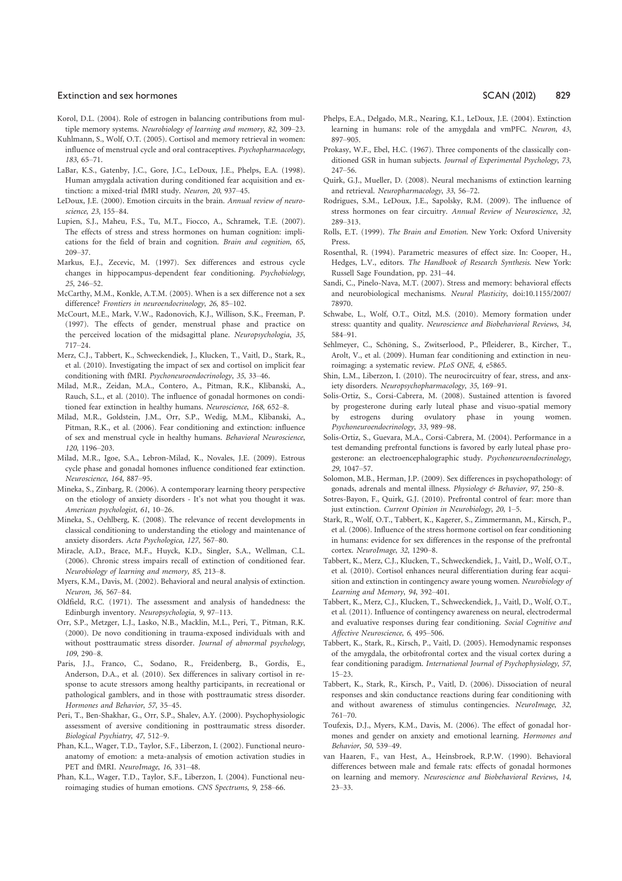#### Extinction and sex hormones **Extinction and sex hormones SCAN (2012)** 829

- Korol, D.L. (2004). Role of estrogen in balancing contributions from multiple memory systems. Neurobiology of learning and memory, 82, 309–23.
- Kuhlmann, S., Wolf, O.T. (2005). Cortisol and memory retrieval in women: influence of menstrual cycle and oral contraceptives. Psychopharmacology, 183, 65–71.
- LaBar, K.S., Gatenby, J.C., Gore, J.C., LeDoux, J.E., Phelps, E.A. (1998). Human amygdala activation during conditioned fear acquisition and extinction: a mixed-trial fMRI study. Neuron, 20, 937–45.
- LeDoux, J.E. (2000). Emotion circuits in the brain. Annual review of neuroscience, 23, 155–84.
- Lupien, S.J., Maheu, F.S., Tu, M.T., Fiocco, A., Schramek, T.E. (2007). The effects of stress and stress hormones on human cognition: implications for the field of brain and cognition. Brain and cognition, 65, 209–37.
- Markus, E.J., Zecevic, M. (1997). Sex differences and estrous cycle changes in hippocampus-dependent fear conditioning. Psychobiology, 25, 246–52.
- McCarthy, M.M., Konkle, A.T.M. (2005). When is a sex difference not a sex difference? Frontiers in neuroendocrinology, 26, 85–102.
- McCourt, M.E., Mark, V.W., Radonovich, K.J., Willison, S.K., Freeman, P. (1997). The effects of gender, menstrual phase and practice on the perceived location of the midsagittal plane. Neuropsychologia, 35, 717–24.
- Merz, C.J., Tabbert, K., Schweckendiek, J., Klucken, T., Vaitl, D., Stark, R., et al. (2010). Investigating the impact of sex and cortisol on implicit fear conditioning with fMRI. Psychoneuroendocrinology, 35, 33–46.
- Milad, M.R., Zeidan, M.A., Contero, A., Pitman, R.K., Klibanski, A., Rauch, S.L., et al. (2010). The influence of gonadal hormones on conditioned fear extinction in healthy humans. Neuroscience, 168, 652–8.
- Milad, M.R., Goldstein, J.M., Orr, S.P., Wedig, M.M., Klibanski, A., Pitman, R.K., et al. (2006). Fear conditioning and extinction: influence of sex and menstrual cycle in healthy humans. Behavioral Neuroscience, 120, 1196–203.
- Milad, M.R., Igoe, S.A., Lebron-Milad, K., Novales, J.E. (2009). Estrous cycle phase and gonadal homones influence conditioned fear extinction. Neuroscience, 164, 887–95.
- Mineka, S., Zinbarg, R. (2006). A contemporary learning theory perspective on the etiology of anxiety disorders - It's not what you thought it was. American psychologist, 61, 10–26.
- Mineka, S., Oehlberg, K. (2008). The relevance of recent developments in classical conditioning to understanding the etiology and maintenance of anxiety disorders. Acta Psychologica, 127, 567–80.
- Miracle, A.D., Brace, M.F., Huyck, K.D., Singler, S.A., Wellman, C.L. (2006). Chronic stress impairs recall of extinction of conditioned fear. Neurobiology of learning and memory, 85, 213–8.
- Myers, K.M., Davis, M. (2002). Behavioral and neural analysis of extinction. Neuron, 36, 567–84.
- Oldfield, R.C. (1971). The assessment and analysis of handedness: the Edinburgh inventory. Neuropsychologia, 9, 97–113.
- Orr, S.P., Metzger, L.J., Lasko, N.B., Macklin, M.L., Peri, T., Pitman, R.K. (2000). De novo conditioning in trauma-exposed individuals with and without posttraumatic stress disorder. Journal of abnormal psychology, 109, 290–8.
- Paris, J.J., Franco, C., Sodano, R., Freidenberg, B., Gordis, E., Anderson, D.A., et al. (2010). Sex differences in salivary cortisol in response to acute stressors among healthy participants, in recreational or pathological gamblers, and in those with posttraumatic stress disorder. Hormones and Behavior, 57, 35–45.
- Peri, T., Ben-Shakhar, G., Orr, S.P., Shalev, A.Y. (2000). Psychophysiologic assessment of aversive conditioning in posttraumatic stress disorder. Biological Psychiatry, 47, 512–9.
- Phan, K.L., Wager, T.D., Taylor, S.F., Liberzon, I. (2002). Functional neuroanatomy of emotion: a meta-analysis of emotion activation studies in PET and fMRI. NeuroImage, 16, 331-48.
- Phan, K.L., Wager, T.D., Taylor, S.F., Liberzon, I. (2004). Functional neuroimaging studies of human emotions. CNS Spectrums, 9, 258–66.
- Phelps, E.A., Delgado, M.R., Nearing, K.I., LeDoux, J.E. (2004). Extinction learning in humans: role of the amygdala and vmPFC. Neuron, 43, 897–905.
- Prokasy, W.F., Ebel, H.C. (1967). Three components of the classically conditioned GSR in human subjects. Journal of Experimental Psychology, 73, 247–56.
- Quirk, G.J., Mueller, D. (2008). Neural mechanisms of extinction learning and retrieval. Neuropharmacology, 33, 56–72.
- Rodrigues, S.M., LeDoux, J.E., Sapolsky, R.M. (2009). The influence of stress hormones on fear circuitry. Annual Review of Neuroscience, 32, 289–313.
- Rolls, E.T. (1999). The Brain and Emotion. New York: Oxford University Press.
- Rosenthal, R. (1994). Parametric measures of effect size. In: Cooper, H., Hedges, L.V., editors. The Handbook of Research Synthesis. New York: Russell Sage Foundation, pp. 231–44.
- Sandi, C., Pinelo-Nava, M.T. (2007). Stress and memory: behavioral effects and neurobiological mechanisms. Neural Plasticity, doi:10.1155/2007/ 78970.
- Schwabe, L., Wolf, O.T., Oitzl, M.S. (2010). Memory formation under stress: quantity and quality. Neuroscience and Biobehavioral Reviews, 34, 584–91.
- Sehlmeyer, C., Schöning, S., Zwitserlood, P., Pfleiderer, B., Kircher, T., Arolt, V., et al. (2009). Human fear conditioning and extinction in neuroimaging: a systematic review. PLoS ONE, 4, e5865.
- Shin, L.M., Liberzon, I. (2010). The neurocircuitry of fear, stress, and anxiety disorders. Neuropsychopharmacology, 35, 169–91.
- Solis-Ortiz, S., Corsi-Cabrera, M. (2008). Sustained attention is favored by progesterone during early luteal phase and visuo-spatial memory by estrogens during ovulatory phase in young women. Psychoneuroendocrinology, 33, 989–98.
- Solis-Ortiz, S., Guevara, M.A., Corsi-Cabrera, M. (2004). Performance in a test demanding prefrontal functions is favored by early luteal phase progesterone: an electroencephalographic study. Psychoneuroendocrinology, 29, 1047–57.
- Solomon, M.B., Herman, J.P. (2009). Sex differences in psychopathology: of gonads, adrenals and mental illness. Physiology & Behavior, 97, 250-8.
- Sotres-Bayon, F., Quirk, G.J. (2010). Prefrontal control of fear: more than just extinction. Current Opinion in Neurobiology, 20, 1–5.
- Stark, R., Wolf, O.T., Tabbert, K., Kagerer, S., Zimmermann, M., Kirsch, P., et al. (2006). Influence of the stress hormone cortisol on fear conditioning in humans: evidence for sex differences in the response of the prefrontal cortex. NeuroImage, 32, 1290–8.
- Tabbert, K., Merz, C.J., Klucken, T., Schweckendiek, J., Vaitl, D., Wolf, O.T., et al. (2010). Cortisol enhances neural differentiation during fear acquisition and extinction in contingency aware young women. Neurobiology of Learning and Memory, 94, 392–401.
- Tabbert, K., Merz, C.J., Klucken, T., Schweckendiek, J., Vaitl, D., Wolf, O.T., et al. (2011). Influence of contingency awareness on neural, electrodermal and evaluative responses during fear conditioning. Social Cognitive and Affective Neuroscience, 6, 495–506.
- Tabbert, K., Stark, R., Kirsch, P., Vaitl, D. (2005). Hemodynamic responses of the amygdala, the orbitofrontal cortex and the visual cortex during a fear conditioning paradigm. International Journal of Psychophysiology, 57, 15–23.
- Tabbert, K., Stark, R., Kirsch, P., Vaitl, D. (2006). Dissociation of neural responses and skin conductance reactions during fear conditioning with and without awareness of stimulus contingencies. NeuroImage, 32, 761–70.
- Toufexis, D.J., Myers, K.M., Davis, M. (2006). The effect of gonadal hormones and gender on anxiety and emotional learning. Hormones and Behavior, 50, 539–49.
- van Haaren, F., van Hest, A., Heinsbroek, R.P.W. (1990). Behavioral differences between male and female rats: effects of gonadal hormones on learning and memory. Neuroscience and Biobehavioral Reviews, 14, 23–33.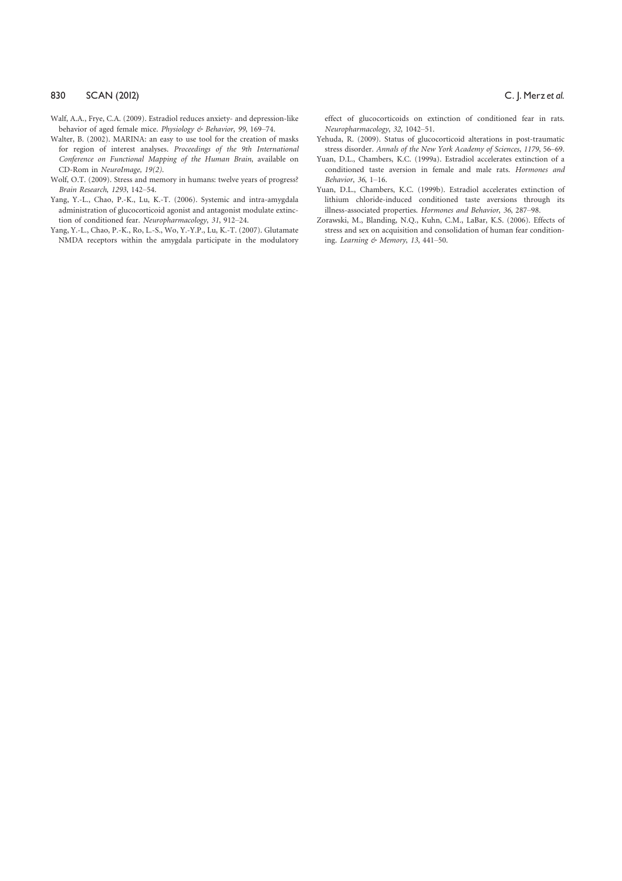- Walf, A.A., Frye, C.A. (2009). Estradiol reduces anxiety- and depression-like behavior of aged female mice. Physiology & Behavior, 99, 169–74.
- Walter, B. (2002). MARINA: an easy to use tool for the creation of masks for region of interest analyses. Proceedings of the 9th International Conference on Functional Mapping of the Human Brain, available on CD-Rom in NeuroImage, 19(2).
- Wolf, O.T. (2009). Stress and memory in humans: twelve years of progress? Brain Research, 1293, 142–54.
- Yang, Y.-L., Chao, P.-K., Lu, K.-T. (2006). Systemic and intra-amygdala administration of glucocorticoid agonist and antagonist modulate extinction of conditioned fear. Neuropharmacology, 31, 912–24.
- Yang, Y.-L., Chao, P.-K., Ro, L.-S., Wo, Y.-Y.P., Lu, K.-T. (2007). Glutamate NMDA receptors within the amygdala participate in the modulatory

effect of glucocorticoids on extinction of conditioned fear in rats. Neuropharmacology, 32, 1042–51.

- Yehuda, R. (2009). Status of glucocorticoid alterations in post-traumatic stress disorder. Annals of the New York Academy of Sciences, 1179, 56–69.
- Yuan, D.L., Chambers, K.C. (1999a). Estradiol accelerates extinction of a conditioned taste aversion in female and male rats. Hormones and Behavior, 36, 1–16.
- Yuan, D.L., Chambers, K.C. (1999b). Estradiol accelerates extinction of lithium chloride-induced conditioned taste aversions through its illness-associated properties. Hormones and Behavior, 36, 287–98.
- Zorawski, M., Blanding, N.Q., Kuhn, C.M., LaBar, K.S. (2006). Effects of stress and sex on acquisition and consolidation of human fear conditioning. Learning & Memory, 13, 441–50.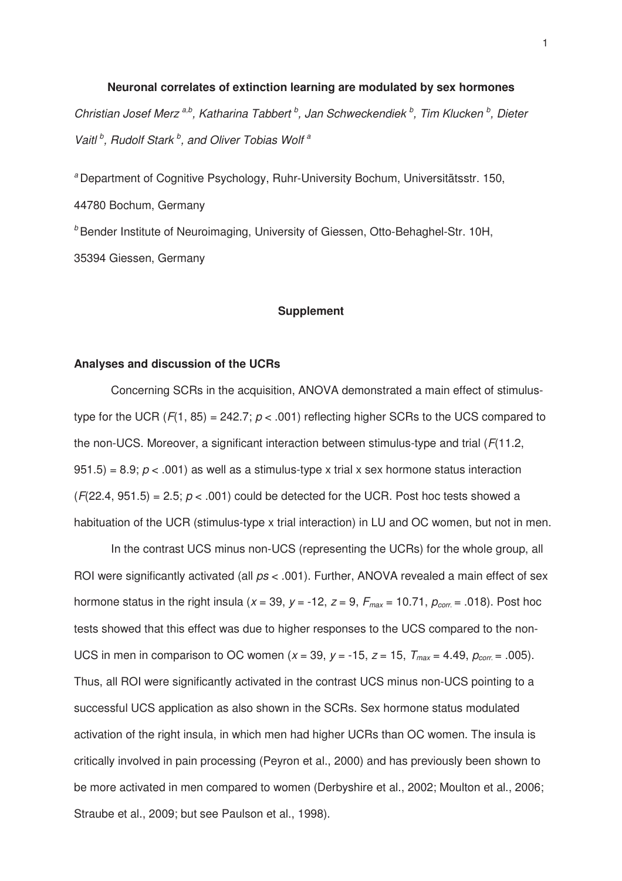**Neuronal correlates of extinction learning are modulated by sex hormones**  Christian Josef Merz<sup>a,b</sup>, Katharina Tabbert<sup>b</sup>, Jan Schweckendiek<sup>b</sup>, Tim Klucken<sup>b</sup>, Dieter Vaitl<sup>b</sup>, Rudolf Stark<sup>b</sup>, and Oliver Tobias Wolf<sup>a</sup>

<sup>a</sup> Department of Cognitive Psychology, Ruhr-University Bochum, Universitätsstr. 150, 44780 Bochum, Germany <sup>b</sup> Bender Institute of Neuroimaging, University of Giessen, Otto-Behaghel-Str. 10H, 35394 Giessen, Germany

# **Supplement**

# **Analyses and discussion of the UCRs**

Concerning SCRs in the acquisition, ANOVA demonstrated a main effect of stimulustype for the UCR ( $F(1, 85) = 242.7$ ;  $p < .001$ ) reflecting higher SCRs to the UCS compared to the non-UCS. Moreover, a significant interaction between stimulus-type and trial  $(F(11.2,$ 951.5) = 8.9;  $p < .001$ ) as well as a stimulus-type x trial x sex hormone status interaction  $(F(22.4, 951.5) = 2.5; p < .001)$  could be detected for the UCR. Post hoc tests showed a habituation of the UCR (stimulus-type x trial interaction) in LU and OC women, but not in men.

 In the contrast UCS minus non-UCS (representing the UCRs) for the whole group, all ROI were significantly activated (all  $ps < .001$ ). Further, ANOVA revealed a main effect of sex hormone status in the right insula (x = 39, y = -12, z = 9,  $F_{max}$  = 10.71,  $p_{corr}$  = .018). Post hoc tests showed that this effect was due to higher responses to the UCS compared to the non-UCS in men in comparison to OC women ( $x = 39$ ,  $y = -15$ ,  $z = 15$ ,  $T_{max} = 4.49$ ,  $p_{corr} = .005$ ). Thus, all ROI were significantly activated in the contrast UCS minus non-UCS pointing to a successful UCS application as also shown in the SCRs. Sex hormone status modulated activation of the right insula, in which men had higher UCRs than OC women. The insula is critically involved in pain processing (Peyron et al., 2000) and has previously been shown to be more activated in men compared to women (Derbyshire et al., 2002; Moulton et al., 2006; Straube et al., 2009; but see Paulson et al., 1998).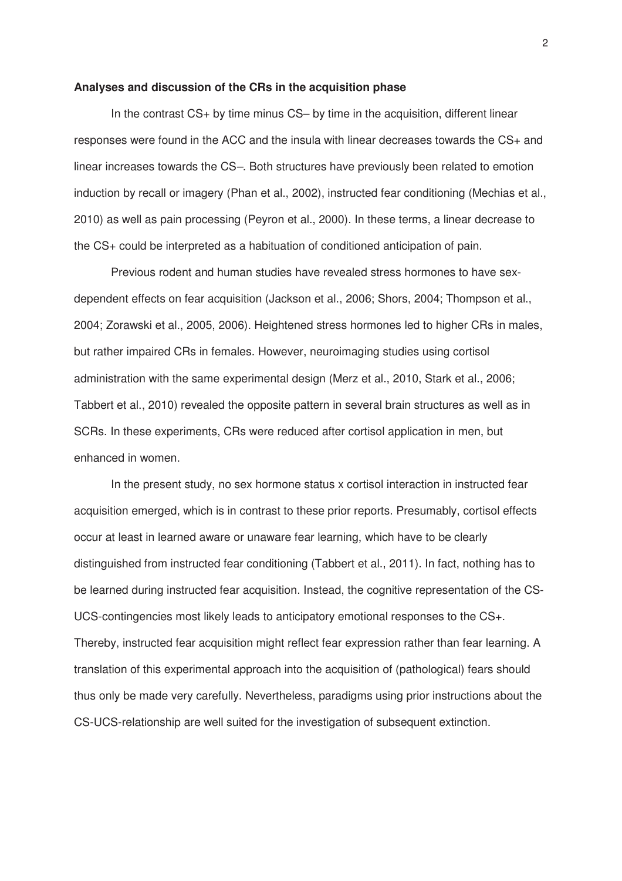# **Analyses and discussion of the CRs in the acquisition phase**

In the contrast CS+ by time minus CS– by time in the acquisition, different linear responses were found in the ACC and the insula with linear decreases towards the CS+ and linear increases towards the CS–. Both structures have previously been related to emotion induction by recall or imagery (Phan et al., 2002), instructed fear conditioning (Mechias et al., 2010) as well as pain processing (Peyron et al., 2000). In these terms, a linear decrease to the CS+ could be interpreted as a habituation of conditioned anticipation of pain.

Previous rodent and human studies have revealed stress hormones to have sexdependent effects on fear acquisition (Jackson et al., 2006; Shors, 2004; Thompson et al., 2004; Zorawski et al., 2005, 2006). Heightened stress hormones led to higher CRs in males, but rather impaired CRs in females. However, neuroimaging studies using cortisol administration with the same experimental design (Merz et al., 2010, Stark et al., 2006; Tabbert et al., 2010) revealed the opposite pattern in several brain structures as well as in SCRs. In these experiments, CRs were reduced after cortisol application in men, but enhanced in women.

In the present study, no sex hormone status x cortisol interaction in instructed fear acquisition emerged, which is in contrast to these prior reports. Presumably, cortisol effects occur at least in learned aware or unaware fear learning, which have to be clearly distinguished from instructed fear conditioning (Tabbert et al., 2011). In fact, nothing has to be learned during instructed fear acquisition. Instead, the cognitive representation of the CS-UCS-contingencies most likely leads to anticipatory emotional responses to the CS+. Thereby, instructed fear acquisition might reflect fear expression rather than fear learning. A translation of this experimental approach into the acquisition of (pathological) fears should thus only be made very carefully. Nevertheless, paradigms using prior instructions about the CS-UCS-relationship are well suited for the investigation of subsequent extinction.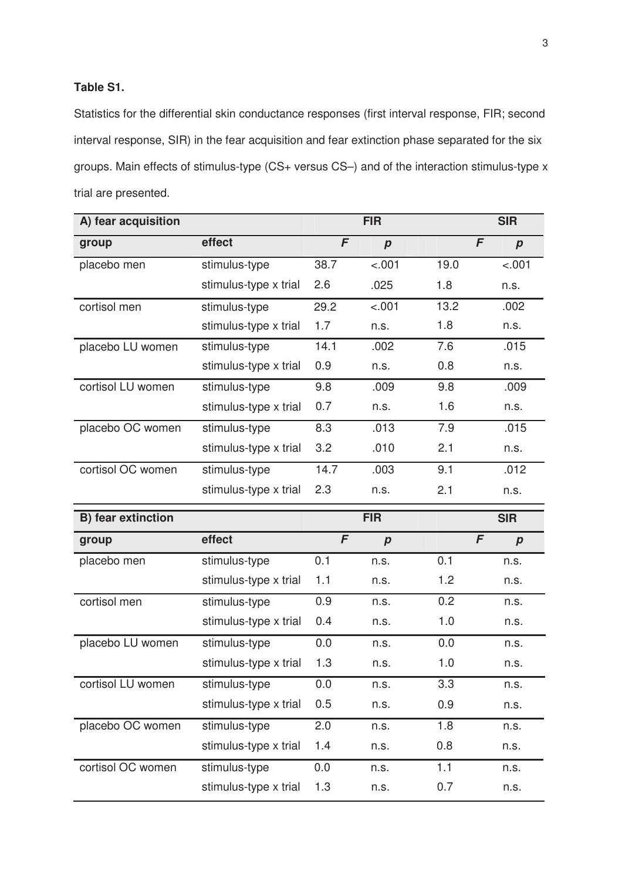# **Table S1.**

Statistics for the differential skin conductance responses (first interval response, FIR; second interval response, SIR) in the fear acquisition and fear extinction phase separated for the six groups. Main effects of stimulus-type (CS+ versus CS–) and of the interaction stimulus-type x trial are presented.

| A) fear acquisition |                       |              | <b>FIR</b>       |            | <b>SIR</b>       |
|---------------------|-----------------------|--------------|------------------|------------|------------------|
| group               | effect                | $\mathsf{F}$ | $\boldsymbol{p}$ | F          | $\boldsymbol{p}$ |
| placebo men         | stimulus-type         | 38.7         | $-.001$          | 19.0       | $-.001$          |
|                     | stimulus-type x trial | 2.6          | .025             | 1.8        | n.s.             |
| cortisol men        | stimulus-type         | 29.2         | $-.001$          | 13.2       | .002             |
|                     | stimulus-type x trial | 1.7          | n.s.             | 1.8        | n.s.             |
| placebo LU women    | stimulus-type         | 14.1         | .002             | 7.6        | .015             |
|                     | stimulus-type x trial | 0.9          | n.s.             | 0.8        | n.s.             |
| cortisol LU women   | stimulus-type         | 9.8          | .009             | 9.8        | .009             |
|                     | stimulus-type x trial | 0.7          | n.s.             | 1.6        | n.s.             |
| placebo OC women    | stimulus-type         | 8.3          | .013             | 7.9        | .015             |
|                     | stimulus-type x trial | 3.2          | .010             | 2.1        | n.s.             |
| cortisol OC women   | stimulus-type         | 14.7         | .003             | 9.1        | .012             |
|                     | stimulus-type x trial | 2.3          | n.s.             | 2.1        | n.s.             |
|                     |                       |              |                  |            |                  |
| B) fear extinction  |                       |              | <b>FIR</b>       |            | <b>SIR</b>       |
| group               | effect                | F            | $\boldsymbol{p}$ | $\sqrt{F}$ | $\boldsymbol{p}$ |
| placebo men         | stimulus-type         | 0.1          | n.s.             | 0.1        | n.s.             |
|                     | stimulus-type x trial | 1.1          | n.s.             | 1.2        | n.s.             |
| cortisol men        | stimulus-type         | 0.9          | n.s.             | 0.2        | n.s.             |
|                     | stimulus-type x trial | 0.4          | n.s.             | 1.0        | n.s.             |
| placebo LU women    | stimulus-type         | 0.0          | n.s.             | 0.0        | n.s.             |
|                     | stimulus-type x trial | 1.3          | n.s.             | 1.0        | n.s.             |
| cortisol LU women   | stimulus-type         | 0.0          | n.s.             | 3.3        | n.s.             |
|                     | stimulus-type x trial | 0.5          | n.s.             | 0.9        | n.s.             |
| placebo OC women    | stimulus-type         | 2.0          | n.s.             | 1.8        | n.s.             |
|                     | stimulus-type x trial | 1.4          | n.s.             | 0.8        | n.s.             |
| cortisol OC women   | stimulus-type         | 0.0          | n.s.             | 1.1        | n.s.             |